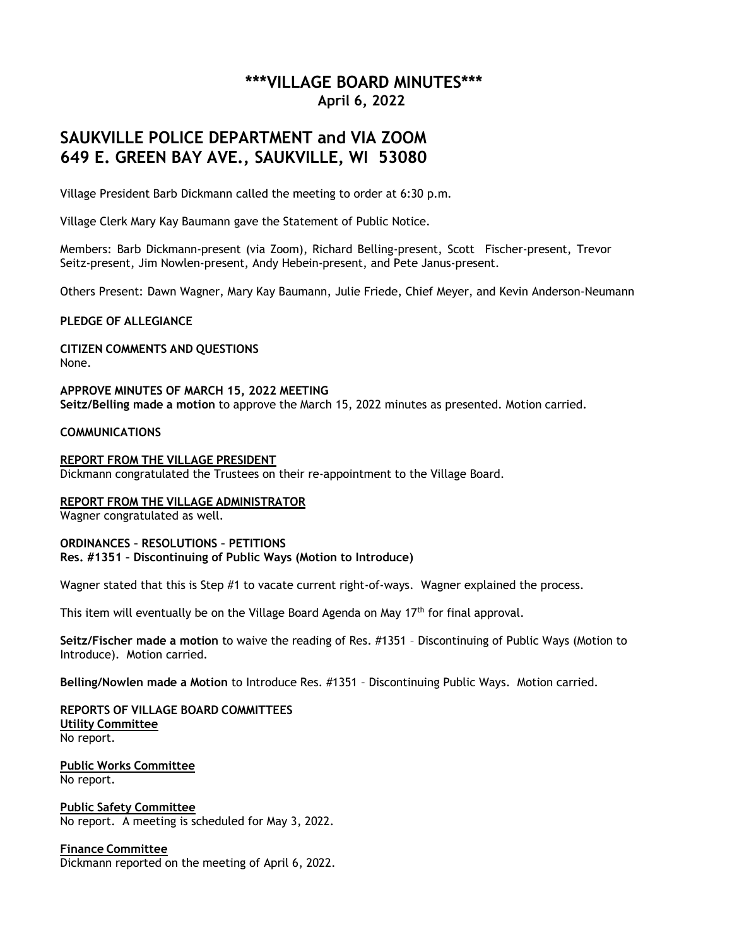## **\*\*\*VILLAGE BOARD MINUTES\*\*\* April 6, 2022**

# **SAUKVILLE POLICE DEPARTMENT and VIA ZOOM 649 E. GREEN BAY AVE., SAUKVILLE, WI 53080**

Village President Barb Dickmann called the meeting to order at 6:30 p.m.

Village Clerk Mary Kay Baumann gave the Statement of Public Notice.

Members: Barb Dickmann-present (via Zoom), Richard Belling-present, Scott Fischer-present, Trevor Seitz-present, Jim Nowlen-present, Andy Hebein-present, and Pete Janus-present.

Others Present: Dawn Wagner, Mary Kay Baumann, Julie Friede, Chief Meyer, and Kevin Anderson-Neumann

#### **PLEDGE OF ALLEGIANCE**

**CITIZEN COMMENTS AND QUESTIONS** None.

**APPROVE MINUTES OF MARCH 15, 2022 MEETING Seitz/Belling made a motion** to approve the March 15, 2022 minutes as presented. Motion carried.

#### **COMMUNICATIONS**

**REPORT FROM THE VILLAGE PRESIDENT** Dickmann congratulated the Trustees on their re-appointment to the Village Board.

**REPORT FROM THE VILLAGE ADMINISTRATOR** Wagner congratulated as well.

#### **ORDINANCES – RESOLUTIONS – PETITIONS Res. #1351 – Discontinuing of Public Ways (Motion to Introduce)**

Wagner stated that this is Step #1 to vacate current right-of-ways. Wagner explained the process.

This item will eventually be on the Village Board Agenda on May 17<sup>th</sup> for final approval.

**Seitz/Fischer made a motion** to waive the reading of Res. #1351 – Discontinuing of Public Ways (Motion to Introduce). Motion carried.

**Belling/Nowlen made a Motion** to Introduce Res. #1351 – Discontinuing Public Ways. Motion carried.

**REPORTS OF VILLAGE BOARD COMMITTEES Utility Committee** No report.

**Public Works Committee** No report.

**Public Safety Committee** No report. A meeting is scheduled for May 3, 2022.

**Finance Committee**

Dickmann reported on the meeting of April 6, 2022.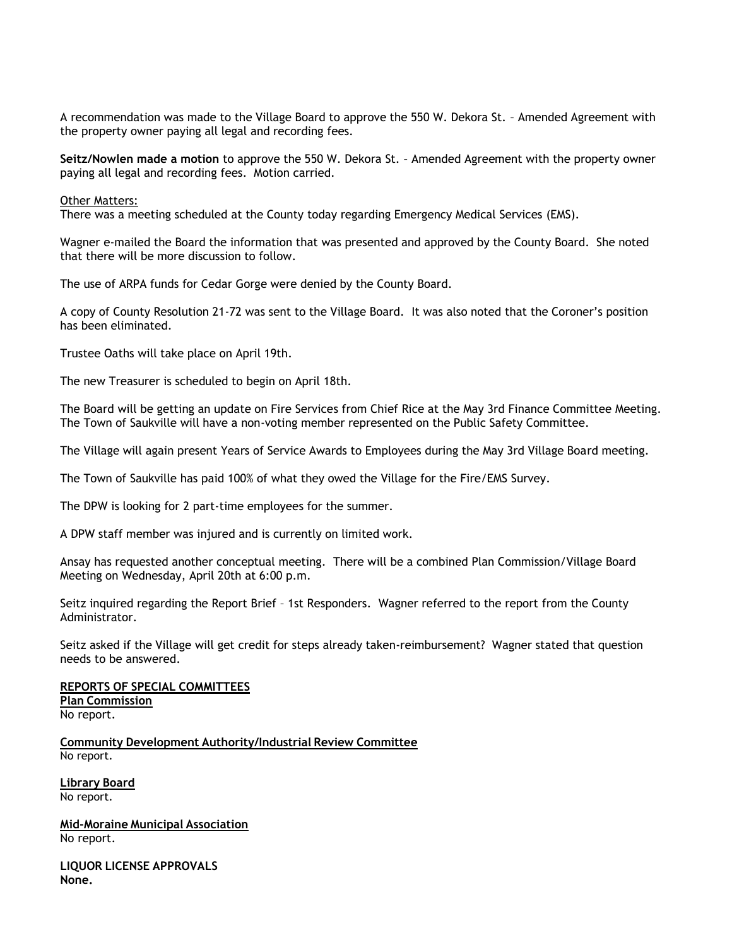A recommendation was made to the Village Board to approve the 550 W. Dekora St. – Amended Agreement with the property owner paying all legal and recording fees.

**Seitz/Nowlen made a motion** to approve the 550 W. Dekora St. – Amended Agreement with the property owner paying all legal and recording fees. Motion carried.

Other Matters:

There was a meeting scheduled at the County today regarding Emergency Medical Services (EMS).

Wagner e-mailed the Board the information that was presented and approved by the County Board. She noted that there will be more discussion to follow.

The use of ARPA funds for Cedar Gorge were denied by the County Board.

A copy of County Resolution 21-72 was sent to the Village Board. It was also noted that the Coroner's position has been eliminated.

Trustee Oaths will take place on April 19th.

The new Treasurer is scheduled to begin on April 18th.

The Board will be getting an update on Fire Services from Chief Rice at the May 3rd Finance Committee Meeting. The Town of Saukville will have a non-voting member represented on the Public Safety Committee.

The Village will again present Years of Service Awards to Employees during the May 3rd Village Board meeting.

The Town of Saukville has paid 100% of what they owed the Village for the Fire/EMS Survey.

The DPW is looking for 2 part-time employees for the summer.

A DPW staff member was injured and is currently on limited work.

Ansay has requested another conceptual meeting. There will be a combined Plan Commission/Village Board Meeting on Wednesday, April 20th at 6:00 p.m.

Seitz inquired regarding the Report Brief – 1st Responders. Wagner referred to the report from the County Administrator.

Seitz asked if the Village will get credit for steps already taken-reimbursement? Wagner stated that question needs to be answered.

**REPORTS OF SPECIAL COMMITTEES Plan Commission** No report.

**Community Development Authority/Industrial Review Committee** No report.

**Library Board** No report.

**Mid-Moraine Municipal Association** No report.

**LIQUOR LICENSE APPROVALS None.**